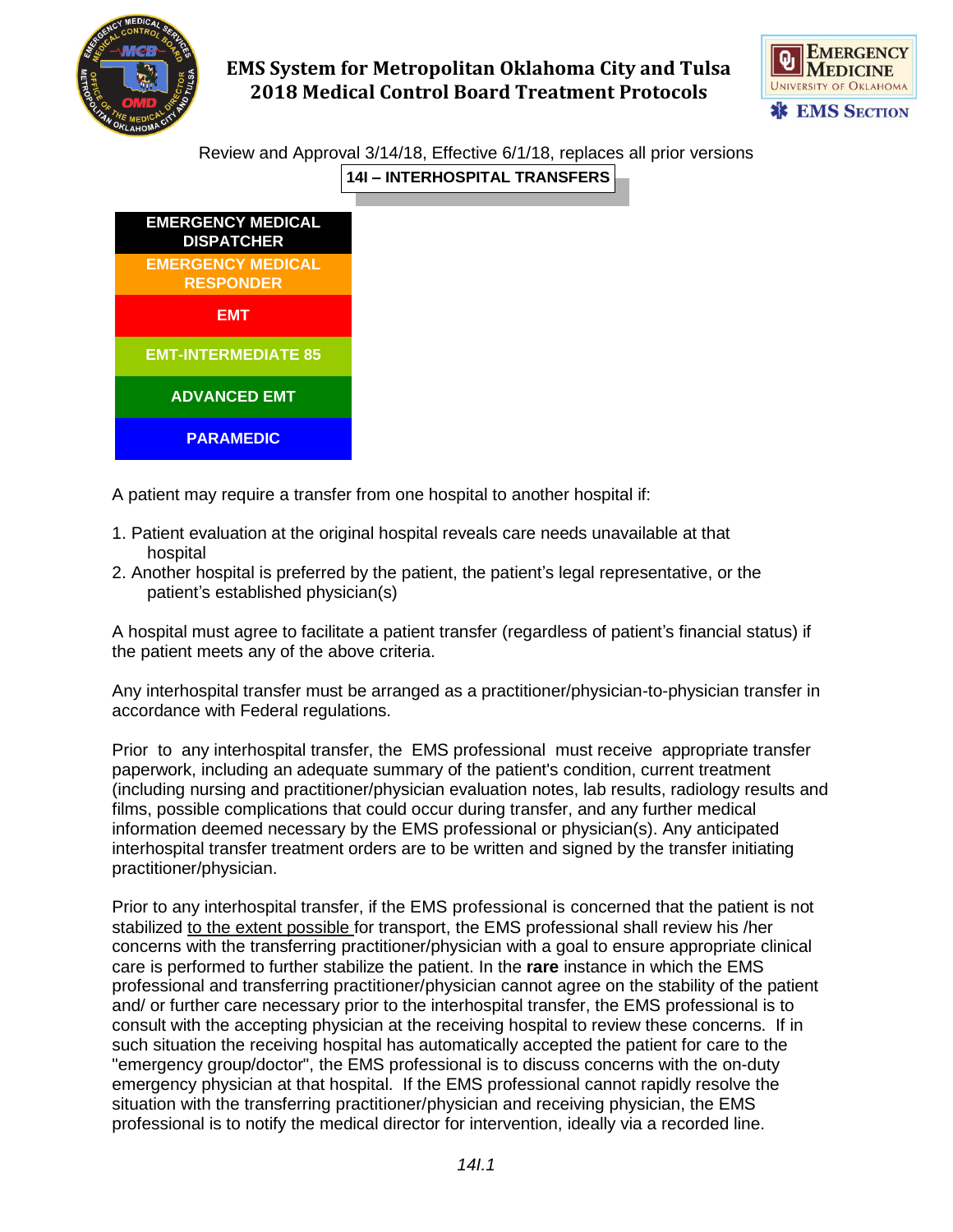



Review and Approval 3/14/18, Effective 6/1/18, replaces all prior versions **14I – INTERHOSPITAL TRANSFERS**



A patient may require a transfer from one hospital to another hospital if:

- 1. Patient evaluation at the original hospital reveals care needs unavailable at that hospital
- 2. Another hospital is preferred by the patient, the patient's legal representative, or the patient's established physician(s)

A hospital must agree to facilitate a patient transfer (regardless of patient's financial status) if the patient meets any of the above criteria.

Any interhospital transfer must be arranged as a practitioner/physician-to-physician transfer in accordance with Federal regulations.

Prior to any interhospital transfer, the EMS professional must receive appropriate transfer paperwork, including an adequate summary of the patient's condition, current treatment (including nursing and practitioner/physician evaluation notes, lab results, radiology results and films, possible complications that could occur during transfer, and any further medical information deemed necessary by the EMS professional or physician(s). Any anticipated interhospital transfer treatment orders are to be written and signed by the transfer initiating practitioner/physician.

Prior to any interhospital transfer, if the EMS professional is concerned that the patient is not stabilized to the extent possible for transport, the EMS professional shall review his /her concerns with the transferring practitioner/physician with a goal to ensure appropriate clinical care is performed to further stabilize the patient. In the **rare** instance in which the EMS professional and transferring practitioner/physician cannot agree on the stability of the patient and/ or further care necessary prior to the interhospital transfer, the EMS professional is to consult with the accepting physician at the receiving hospital to review these concerns. If in such situation the receiving hospital has automatically accepted the patient for care to the "emergency group/doctor", the EMS professional is to discuss concerns with the on-duty emergency physician at that hospital. If the EMS professional cannot rapidly resolve the situation with the transferring practitioner/physician and receiving physician, the EMS professional is to notify the medical director for intervention, ideally via a recorded line.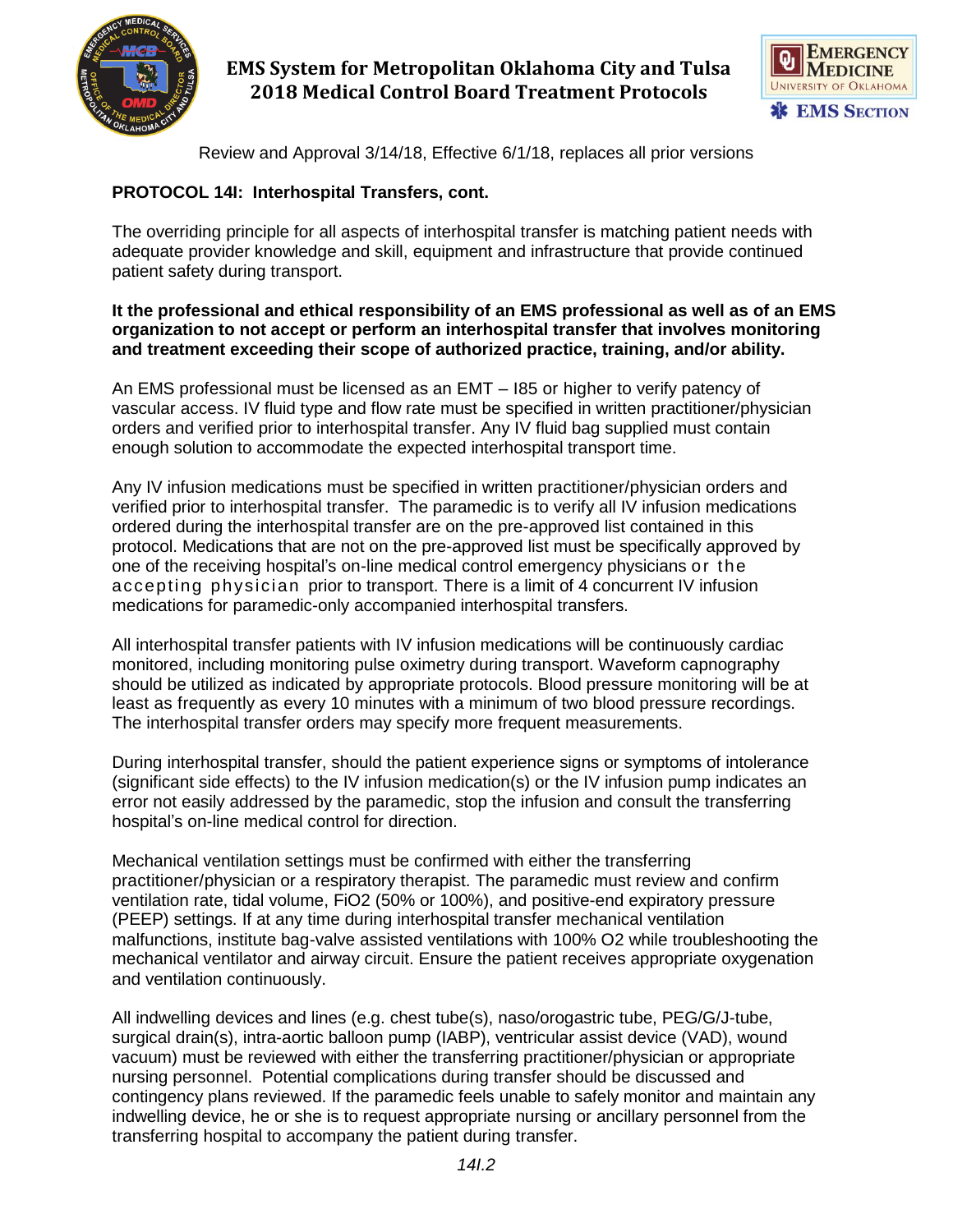



Review and Approval 3/14/18, Effective 6/1/18, replaces all prior versions

### **PROTOCOL 14I: Interhospital Transfers, cont.**

The overriding principle for all aspects of interhospital transfer is matching patient needs with adequate provider knowledge and skill, equipment and infrastructure that provide continued patient safety during transport.

### **It the professional and ethical responsibility of an EMS professional as well as of an EMS organization to not accept or perform an interhospital transfer that involves monitoring and treatment exceeding their scope of authorized practice, training, and/or ability.**

An EMS professional must be licensed as an EMT – I85 or higher to verify patency of vascular access. IV fluid type and flow rate must be specified in written practitioner/physician orders and verified prior to interhospital transfer. Any IV fluid bag supplied must contain enough solution to accommodate the expected interhospital transport time.

Any IV infusion medications must be specified in written practitioner/physician orders and verified prior to interhospital transfer. The paramedic is to verify all IV infusion medications ordered during the interhospital transfer are on the pre-approved list contained in this protocol. Medications that are not on the pre-approved list must be specifically approved by one of the receiving hospital's on-line medical control emergency physicians or the accepting physician prior to transport. There is a limit of 4 concurrent IV infusion medications for paramedic-only accompanied interhospital transfers.

All interhospital transfer patients with IV infusion medications will be continuously cardiac monitored, including monitoring pulse oximetry during transport. Waveform capnography should be utilized as indicated by appropriate protocols. Blood pressure monitoring will be at least as frequently as every 10 minutes with a minimum of two blood pressure recordings. The interhospital transfer orders may specify more frequent measurements.

During interhospital transfer, should the patient experience signs or symptoms of intolerance (significant side effects) to the IV infusion medication(s) or the IV infusion pump indicates an error not easily addressed by the paramedic, stop the infusion and consult the transferring hospital's on-line medical control for direction.

Mechanical ventilation settings must be confirmed with either the transferring practitioner/physician or a respiratory therapist. The paramedic must review and confirm ventilation rate, tidal volume, FiO2 (50% or 100%), and positive-end expiratory pressure (PEEP) settings. If at any time during interhospital transfer mechanical ventilation malfunctions, institute bag-valve assisted ventilations with 100% O2 while troubleshooting the mechanical ventilator and airway circuit. Ensure the patient receives appropriate oxygenation and ventilation continuously.

All indwelling devices and lines (e.g. chest tube(s), naso/orogastric tube, PEG/G/J-tube, surgical drain(s), intra-aortic balloon pump (IABP), ventricular assist device (VAD), wound vacuum) must be reviewed with either the transferring practitioner/physician or appropriate nursing personnel. Potential complications during transfer should be discussed and contingency plans reviewed. If the paramedic feels unable to safely monitor and maintain any indwelling device, he or she is to request appropriate nursing or ancillary personnel from the transferring hospital to accompany the patient during transfer.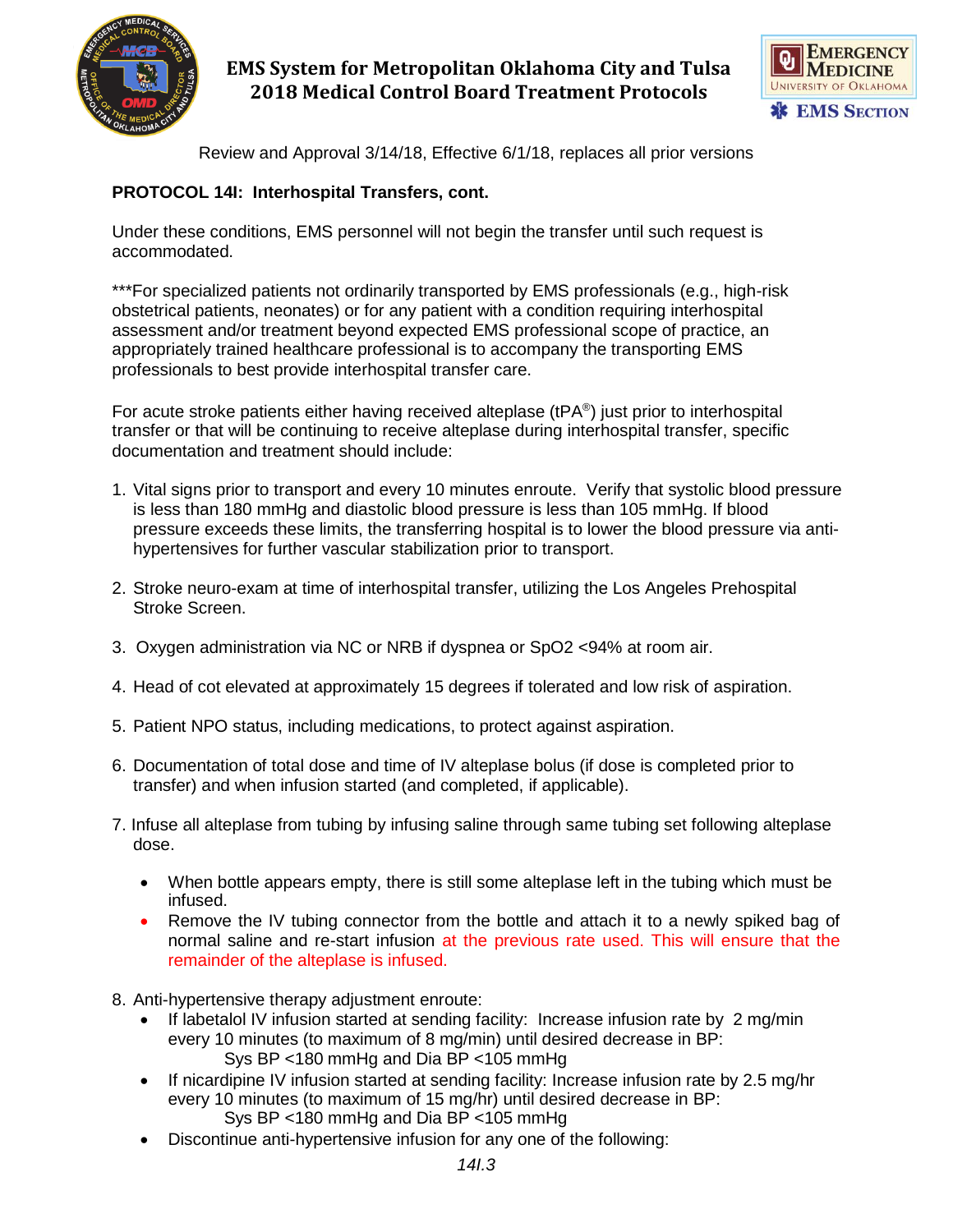



Review and Approval 3/14/18, Effective 6/1/18, replaces all prior versions

### **PROTOCOL 14I: Interhospital Transfers, cont.**

Under these conditions, EMS personnel will not begin the transfer until such request is accommodated.

\*\*\*For specialized patients not ordinarily transported by EMS professionals (e.g., high-risk obstetrical patients, neonates) or for any patient with a condition requiring interhospital assessment and/or treatment beyond expected EMS professional scope of practice, an appropriately trained healthcare professional is to accompany the transporting EMS professionals to best provide interhospital transfer care.

For acute stroke patients either having received alteplase (tPA®) just prior to interhospital transfer or that will be continuing to receive alteplase during interhospital transfer, specific documentation and treatment should include:

- 1. Vital signs prior to transport and every 10 minutes enroute. Verify that systolic blood pressure is less than 180 mmHg and diastolic blood pressure is less than 105 mmHg. If blood pressure exceeds these limits, the transferring hospital is to lower the blood pressure via antihypertensives for further vascular stabilization prior to transport.
- 2. Stroke neuro-exam at time of interhospital transfer, utilizing the Los Angeles Prehospital Stroke Screen.
- 3. Oxygen administration via NC or NRB if dyspnea or SpO2 <94% at room air.
- 4. Head of cot elevated at approximately 15 degrees if tolerated and low risk of aspiration.
- 5. Patient NPO status, including medications, to protect against aspiration.
- 6. Documentation of total dose and time of IV alteplase bolus (if dose is completed prior to transfer) and when infusion started (and completed, if applicable).
- 7. Infuse all alteplase from tubing by infusing saline through same tubing set following alteplase dose.
	- When bottle appears empty, there is still some alteplase left in the tubing which must be infused.
	- Remove the IV tubing connector from the bottle and attach it to a newly spiked bag of normal saline and re-start infusion at the previous rate used. This will ensure that the remainder of the alteplase is infused.
- 8. Anti-hypertensive therapy adjustment enroute:
	- If labetalol IV infusion started at sending facility: Increase infusion rate by 2 mg/min every 10 minutes (to maximum of 8 mg/min) until desired decrease in BP: Sys BP <180 mmHg and Dia BP <105 mmHg
	- If nicardipine IV infusion started at sending facility: Increase infusion rate by 2.5 mg/hr every 10 minutes (to maximum of 15 mg/hr) until desired decrease in BP: Sys BP <180 mmHg and Dia BP <105 mmHg
	- Discontinue anti-hypertensive infusion for any one of the following: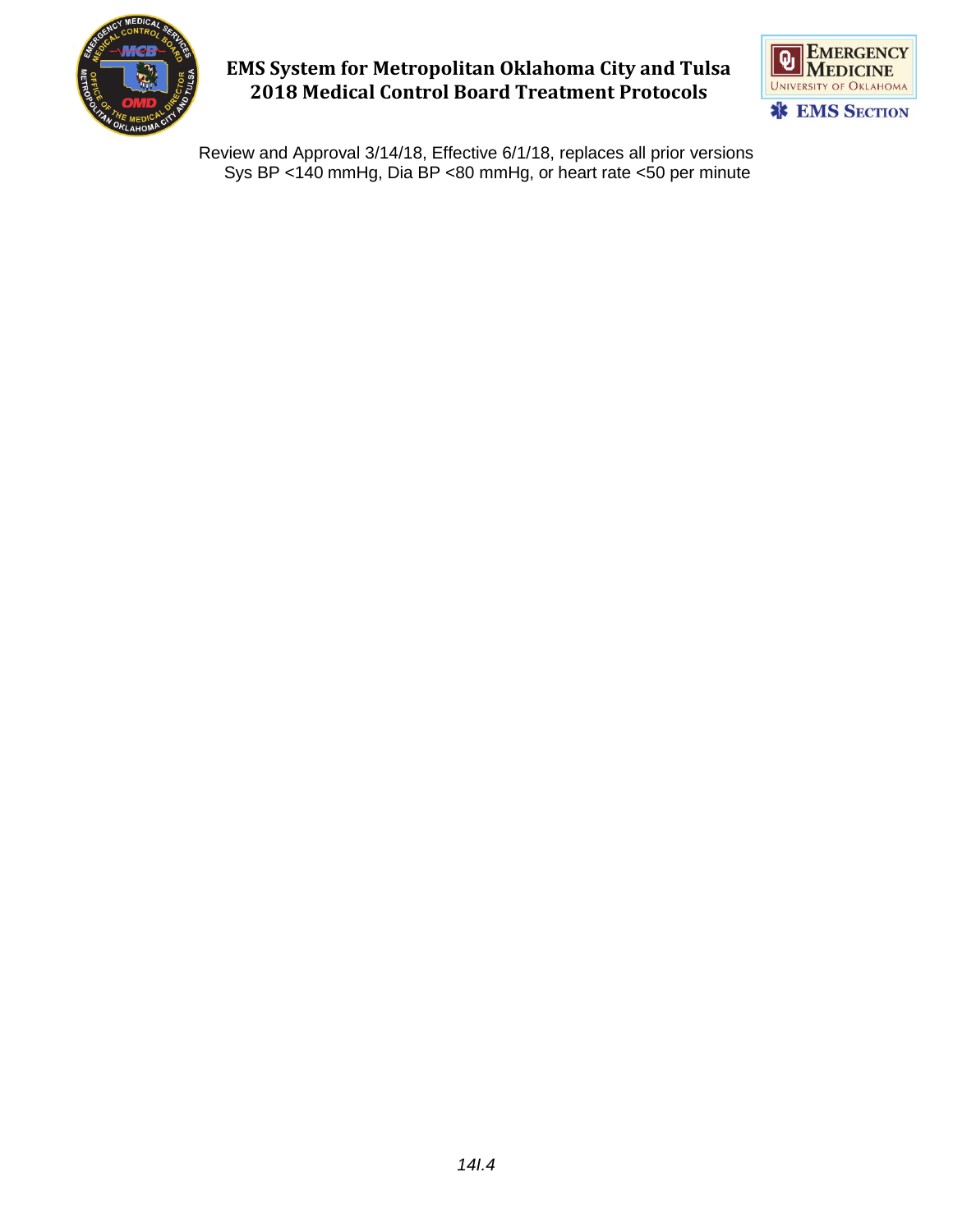



Review and Approval 3/14/18, Effective 6/1/18, replaces all prior versions Sys BP <140 mmHg, Dia BP <80 mmHg, or heart rate <50 per minute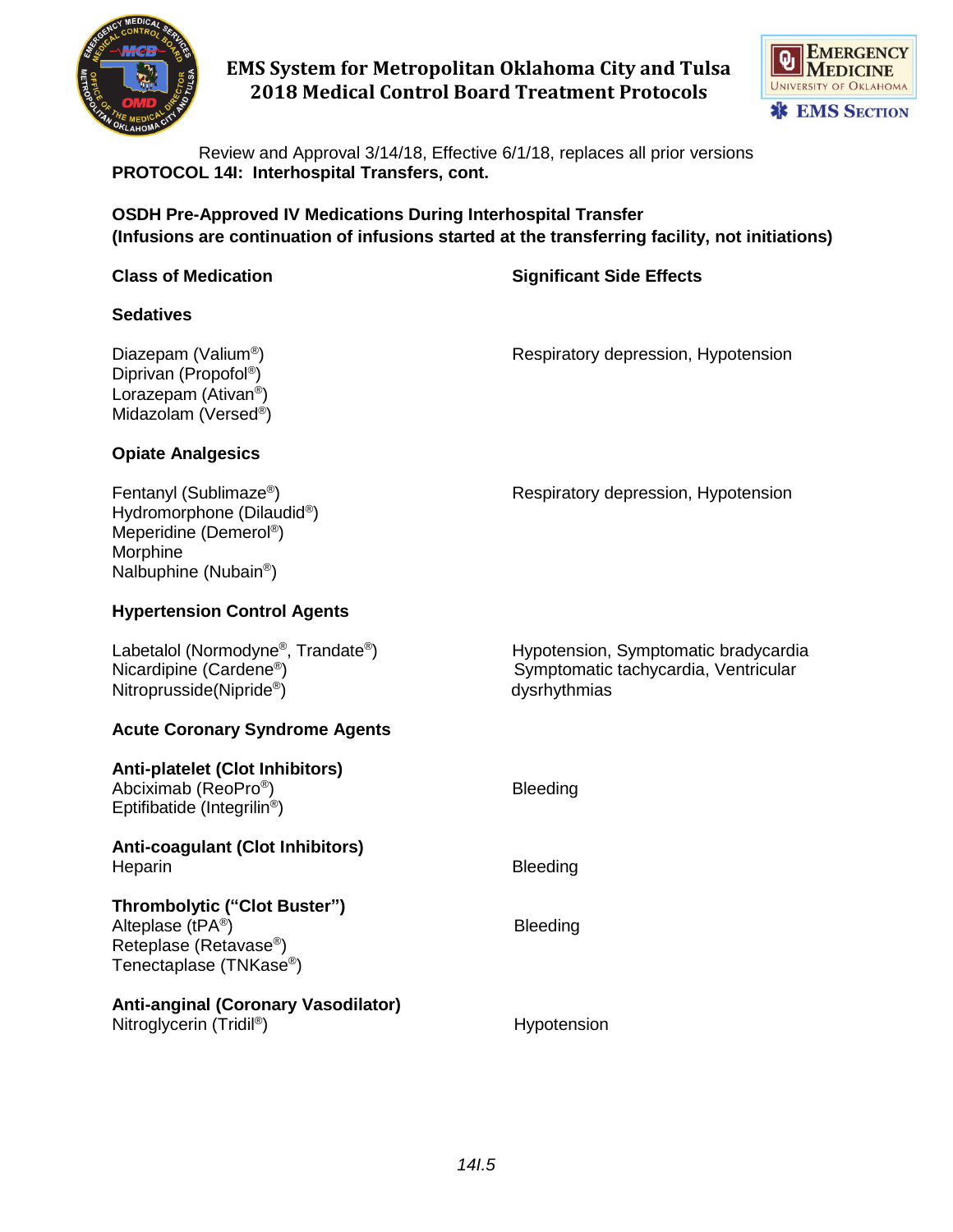



Review and Approval 3/14/18, Effective 6/1/18, replaces all prior versions **PROTOCOL 14I: Interhospital Transfers, cont.**

**OSDH Pre-Approved IV Medications During Interhospital Transfer (Infusions are continuation of infusions started at the transferring facility, not initiations)**

|  |  |  | <b>Class of Medication</b> |
|--|--|--|----------------------------|
|--|--|--|----------------------------|

**Class of Medication Significant Side Effects**

### **Sedatives**

Diazepam (Valium® Diprivan (Propofol® ) Lorazepam (Ativan<sup>®</sup>) Midazolam (Versed®) ) Respiratory depression, Hypotension

### **Opiate Analgesics**

| Fentanyl (Sublimaze®)<br>Hydromorphone (Dilaudid®)<br>Meperidine (Demerol <sup>®</sup> )<br>Morphine<br>Nalbuphine (Nubain <sup>®</sup> )   | Respiratory depression, Hypotension                                                          |
|---------------------------------------------------------------------------------------------------------------------------------------------|----------------------------------------------------------------------------------------------|
| <b>Hypertension Control Agents</b>                                                                                                          |                                                                                              |
| Labetalol (Normodyne <sup>®</sup> , Trandate <sup>®</sup> )<br>Nicardipine (Cardene <sup>®</sup> )<br>Nitroprusside (Nipride <sup>®</sup> ) | Hypotension, Symptomatic bradycardia<br>Symptomatic tachycardia, Ventricular<br>dysrhythmias |
| <b>Acute Coronary Syndrome Agents</b>                                                                                                       |                                                                                              |
| <b>Anti-platelet (Clot Inhibitors)</b><br>Abciximab (ReoPro <sup>®</sup> )<br>Eptifibatide (Integrilin <sup>®</sup> )                       | <b>Bleeding</b>                                                                              |
| <b>Anti-coagulant (Clot Inhibitors)</b><br>Heparin                                                                                          | <b>Bleeding</b>                                                                              |
| Thrombolytic ("Clot Buster")<br>Alteplase (tPA <sup>®</sup> )<br>Reteplase (Retavase®)<br>Tenectaplase (TNKase®)                            | <b>Bleeding</b>                                                                              |

### **Anti-anginal (Coronary Vasodilator)** Nitroglycerin (Tridil® **Hypotension**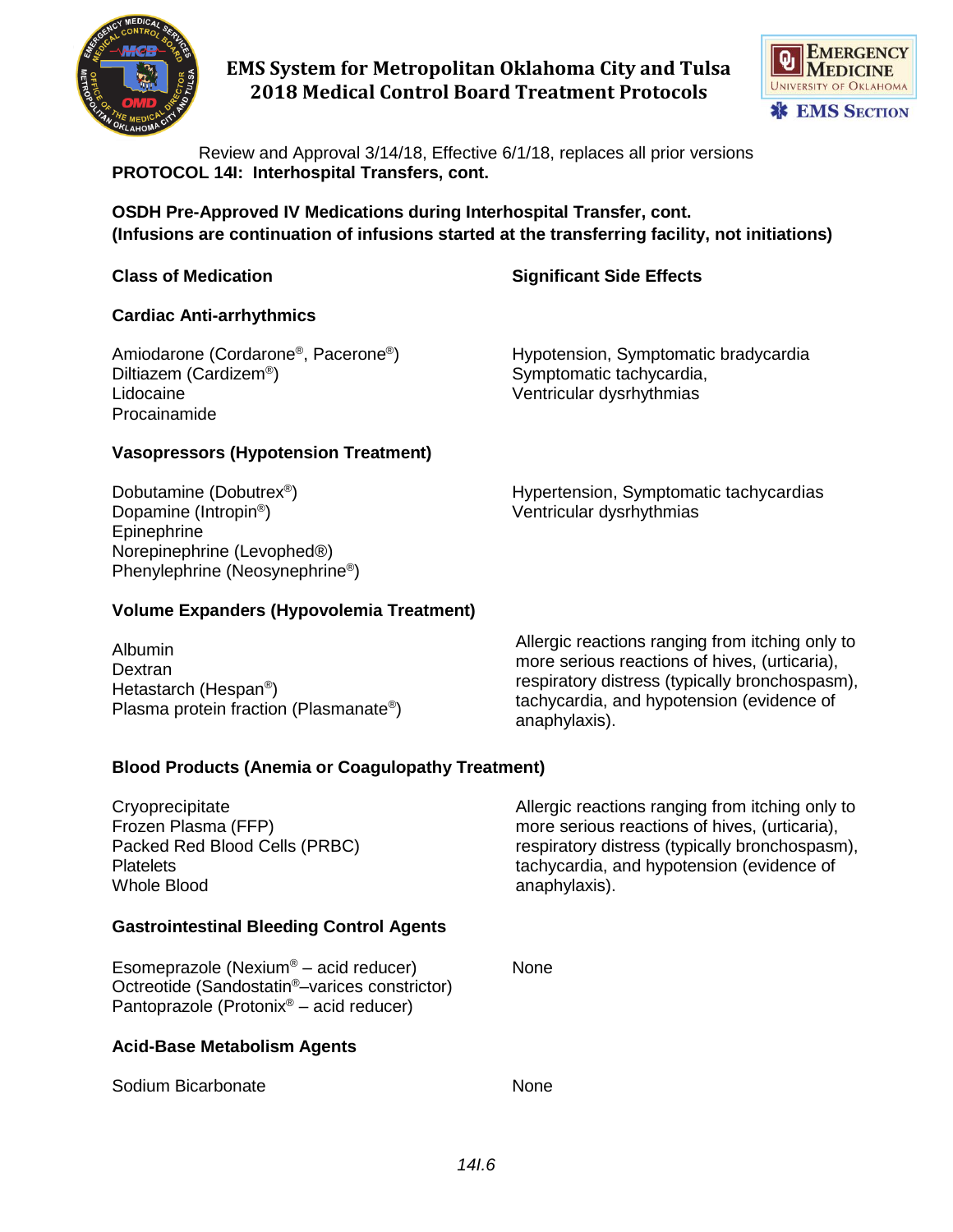



Review and Approval 3/14/18, Effective 6/1/18, replaces all prior versions **PROTOCOL 14I: Interhospital Transfers, cont.**

**OSDH Pre-Approved IV Medications during Interhospital Transfer, cont. (Infusions are continuation of infusions started at the transferring facility, not initiations)**

**Class of Medication Significant Side Effects**

### **Cardiac Anti-arrhythmics**

Amiodarone (Cordarone®, Pacerone® Diltiazem (Cardizem® Lidocaine Ventricular dysrhythmias Procainamide

) Hypotension, Symptomatic bradycardia ) Symptomatic tachycardia,

### **Vasopressors (Hypotension Treatment)**

Dobutamine (Dobutrex® Dopamine (Intropin ® Epinephrine Norepinephrine (Levophed®) Phenylephrine (Neosynephrine<sup>®</sup>) ) Hypertension, Symptomatic tachycardias ) Ventricular dysrhythmias

## **Volume Expanders (Hypovolemia Treatment)**

Albumin **Dextran** Hetastarch (Hespan<sup>®</sup>) Plasma protein fraction (Plasmanate®) Allergic reactions ranging from itching only to more serious reactions of hives, (urticaria), respiratory distress (typically bronchospasm), tachycardia, and hypotension (evidence of anaphylaxis).

### **Blood Products (Anemia or Coagulopathy Treatment)**

**Cryoprecipitate** Frozen Plasma (FFP) Packed Red Blood Cells (PRBC) **Platelets** Whole Blood **Gastrointestinal Bleeding Control Agents** Allergic reactions ranging from itching only to more serious reactions of hives, (urticaria), respiratory distress (typically bronchospasm), tachycardia, and hypotension (evidence of anaphylaxis).

Esomeprazole (Nexium® – acid reducer) None Octreotide (Sandostatin®–varices constrictor) Pantoprazole (Protonix® – acid reducer)

### **Acid-Base Metabolism Agents**

Sodium Bicarbonate None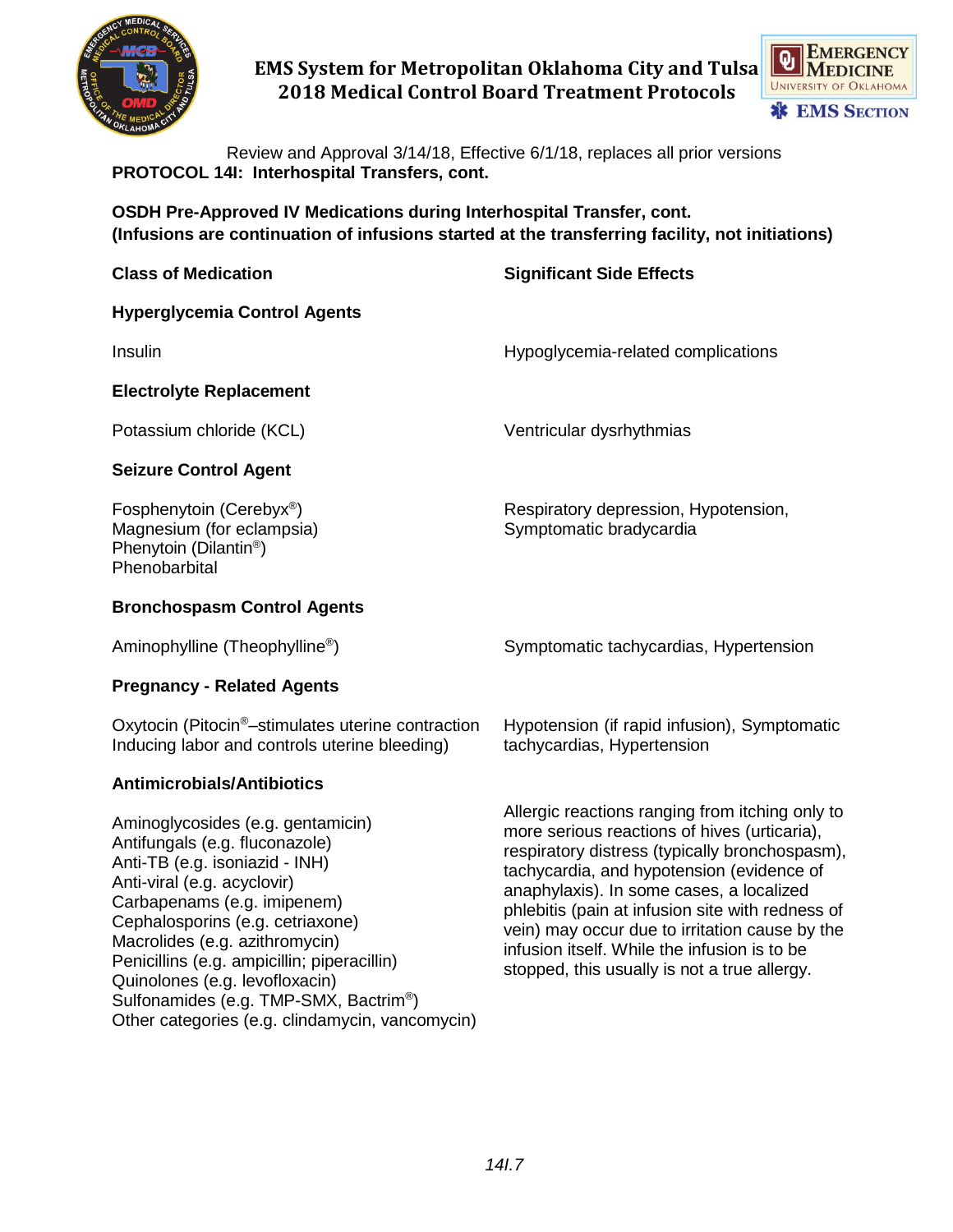



Review and Approval 3/14/18, Effective 6/1/18, replaces all prior versions **PROTOCOL 14I: Interhospital Transfers, cont.**

**OSDH Pre-Approved IV Medications during Interhospital Transfer, cont. (Infusions are continuation of infusions started at the transferring facility, not initiations)**

| <b>Class of Medication</b>                                                                                                                                                                                                                                                                                                                                                                                             | <b>Significant Side Effects</b>                                                                                                                                                                                                                                                                                                                                                                                                                  |
|------------------------------------------------------------------------------------------------------------------------------------------------------------------------------------------------------------------------------------------------------------------------------------------------------------------------------------------------------------------------------------------------------------------------|--------------------------------------------------------------------------------------------------------------------------------------------------------------------------------------------------------------------------------------------------------------------------------------------------------------------------------------------------------------------------------------------------------------------------------------------------|
| <b>Hyperglycemia Control Agents</b>                                                                                                                                                                                                                                                                                                                                                                                    |                                                                                                                                                                                                                                                                                                                                                                                                                                                  |
| Insulin                                                                                                                                                                                                                                                                                                                                                                                                                | Hypoglycemia-related complications                                                                                                                                                                                                                                                                                                                                                                                                               |
| <b>Electrolyte Replacement</b>                                                                                                                                                                                                                                                                                                                                                                                         |                                                                                                                                                                                                                                                                                                                                                                                                                                                  |
| Potassium chloride (KCL)                                                                                                                                                                                                                                                                                                                                                                                               | Ventricular dysrhythmias                                                                                                                                                                                                                                                                                                                                                                                                                         |
| <b>Seizure Control Agent</b>                                                                                                                                                                                                                                                                                                                                                                                           |                                                                                                                                                                                                                                                                                                                                                                                                                                                  |
| Fosphenytoin (Cerebyx <sup>®</sup> )<br>Magnesium (for eclampsia)<br>Phenytoin (Dilantin <sup>®</sup> )<br>Phenobarbital                                                                                                                                                                                                                                                                                               | Respiratory depression, Hypotension,<br>Symptomatic bradycardia                                                                                                                                                                                                                                                                                                                                                                                  |
| <b>Bronchospasm Control Agents</b>                                                                                                                                                                                                                                                                                                                                                                                     |                                                                                                                                                                                                                                                                                                                                                                                                                                                  |
| Aminophylline (Theophylline <sup>®</sup> )                                                                                                                                                                                                                                                                                                                                                                             | Symptomatic tachycardias, Hypertension                                                                                                                                                                                                                                                                                                                                                                                                           |
| <b>Pregnancy - Related Agents</b>                                                                                                                                                                                                                                                                                                                                                                                      |                                                                                                                                                                                                                                                                                                                                                                                                                                                  |
| Oxytocin (Pitocin <sup>®</sup> -stimulates uterine contraction<br>Inducing labor and controls uterine bleeding)                                                                                                                                                                                                                                                                                                        | Hypotension (if rapid infusion), Symptomatic<br>tachycardias, Hypertension                                                                                                                                                                                                                                                                                                                                                                       |
| <b>Antimicrobials/Antibiotics</b>                                                                                                                                                                                                                                                                                                                                                                                      |                                                                                                                                                                                                                                                                                                                                                                                                                                                  |
| Aminoglycosides (e.g. gentamicin)<br>Antifungals (e.g. fluconazole)<br>Anti-TB (e.g. isoniazid - INH)<br>Anti-viral (e.g. acyclovir)<br>Carbapenams (e.g. imipenem)<br>Cephalosporins (e.g. cetriaxone)<br>Macrolides (e.g. azithromycin)<br>Penicillins (e.g. ampicillin; piperacillin)<br>Quinolones (e.g. levofloxacin)<br>Sulfonamides (e.g. TMP-SMX, Bactrim®)<br>Other categories (e.g. clindamycin, vancomycin) | Allergic reactions ranging from itching only to<br>more serious reactions of hives (urticaria),<br>respiratory distress (typically bronchospasm),<br>tachycardia, and hypotension (evidence of<br>anaphylaxis). In some cases, a localized<br>phlebitis (pain at infusion site with redness of<br>vein) may occur due to irritation cause by the<br>infusion itself. While the infusion is to be<br>stopped, this usually is not a true allergy. |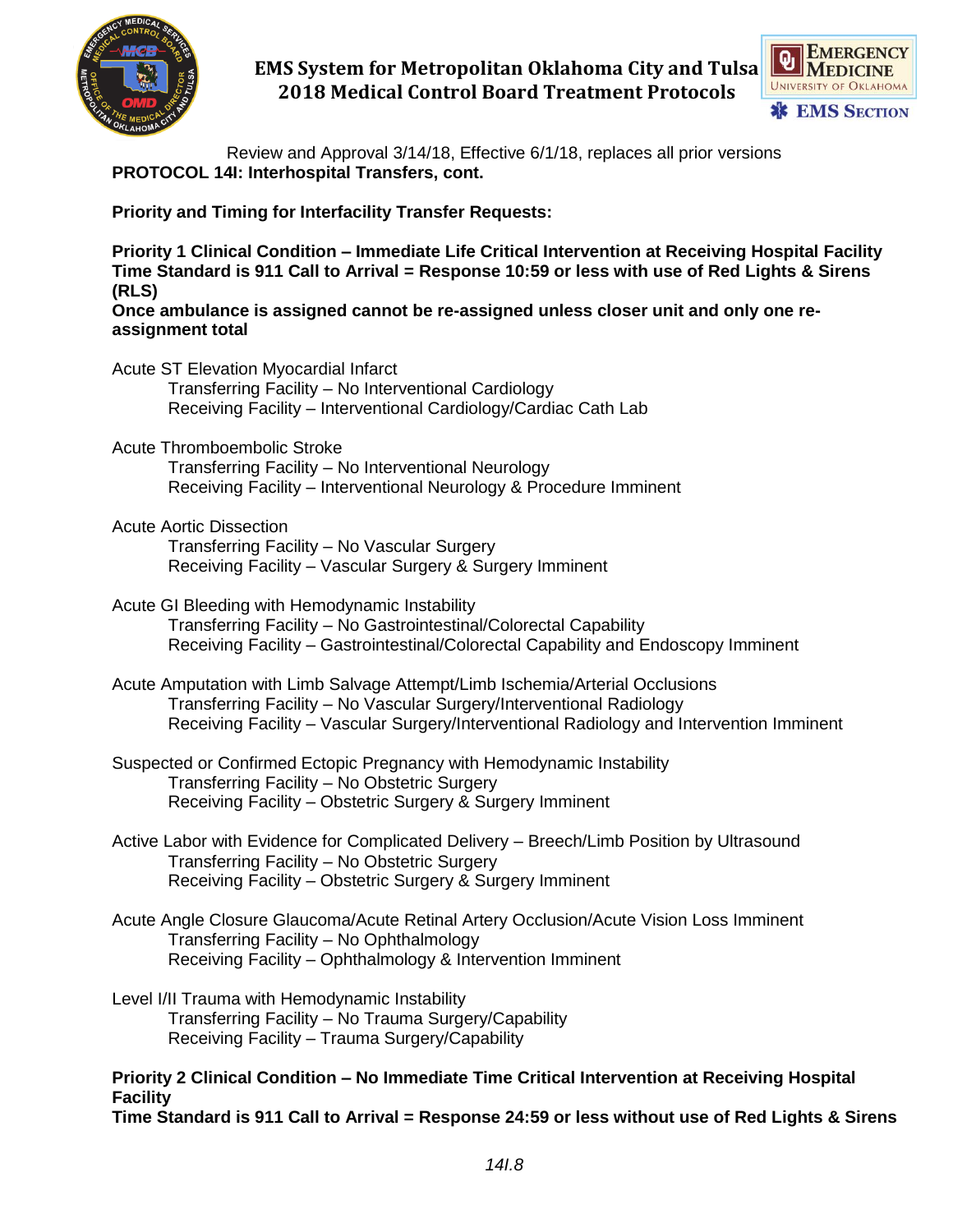



Review and Approval 3/14/18, Effective 6/1/18, replaces all prior versions **PROTOCOL 14I: Interhospital Transfers, cont.**

**Priority and Timing for Interfacility Transfer Requests:**

**Priority 1 Clinical Condition – Immediate Life Critical Intervention at Receiving Hospital Facility Time Standard is 911 Call to Arrival = Response 10:59 or less with use of Red Lights & Sirens (RLS)**

**Once ambulance is assigned cannot be re-assigned unless closer unit and only one reassignment total**

- Acute ST Elevation Myocardial Infarct Transferring Facility – No Interventional Cardiology Receiving Facility – Interventional Cardiology/Cardiac Cath Lab
- Acute Thromboembolic Stroke Transferring Facility – No Interventional Neurology Receiving Facility – Interventional Neurology & Procedure Imminent
- Acute Aortic Dissection

Transferring Facility – No Vascular Surgery Receiving Facility – Vascular Surgery & Surgery Imminent

- Acute GI Bleeding with Hemodynamic Instability Transferring Facility – No Gastrointestinal/Colorectal Capability Receiving Facility – Gastrointestinal/Colorectal Capability and Endoscopy Imminent
- Acute Amputation with Limb Salvage Attempt/Limb Ischemia/Arterial Occlusions Transferring Facility – No Vascular Surgery/Interventional Radiology Receiving Facility – Vascular Surgery/Interventional Radiology and Intervention Imminent
- Suspected or Confirmed Ectopic Pregnancy with Hemodynamic Instability Transferring Facility – No Obstetric Surgery Receiving Facility – Obstetric Surgery & Surgery Imminent
- Active Labor with Evidence for Complicated Delivery Breech/Limb Position by Ultrasound Transferring Facility – No Obstetric Surgery Receiving Facility – Obstetric Surgery & Surgery Imminent
- Acute Angle Closure Glaucoma/Acute Retinal Artery Occlusion/Acute Vision Loss Imminent Transferring Facility – No Ophthalmology Receiving Facility – Ophthalmology & Intervention Imminent
- Level I/II Trauma with Hemodynamic Instability Transferring Facility – No Trauma Surgery/Capability Receiving Facility – Trauma Surgery/Capability

**Priority 2 Clinical Condition – No Immediate Time Critical Intervention at Receiving Hospital Facility Time Standard is 911 Call to Arrival = Response 24:59 or less without use of Red Lights & Sirens**